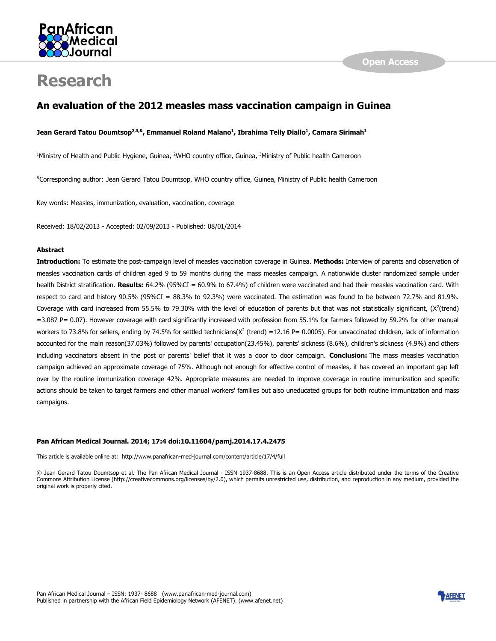

# **Research**

## **An evaluation of the 2012 measles mass vaccination campaign in Guinea**

#### **Jean Gerard Tatou Doumtsop2,3,&, Emmanuel Roland Malano<sup>1</sup> , Ibrahima Telly Diallo<sup>1</sup> , Camara Sirimah<sup>1</sup>**

<sup>1</sup>Ministry of Health and Public Hygiene, Guinea, <sup>2</sup>WHO country office, Guinea, <sup>3</sup>Ministry of Public health Cameroon

&Corresponding author: Jean Gerard Tatou Doumtsop, WHO country office, Guinea, Ministry of Public health Cameroon

Key words: Measles, immunization, evaluation, vaccination, coverage

Received: 18/02/2013 - Accepted: 02/09/2013 - Published: 08/01/2014

#### **Abstract**

**Introduction:** To estimate the post-campaign level of measles vaccination coverage in Guinea. **Methods:** Interview of parents and observation of measles vaccination cards of children aged 9 to 59 months during the mass measles campaign. A nationwide cluster randomized sample under health District stratification. **Results:** 64.2% (95%CI = 60.9% to 67.4%) of children were vaccinated and had their measles vaccination card. With respect to card and history 90.5% (95%CI = 88.3% to 92.3%) were vaccinated. The estimation was found to be between 72.7% and 81.9%. Coverage with card increased from 55.5% to 79.30% with the level of education of parents but that was not statistically significant,  $(X^2$ (trend) =3.087 P= 0.07). However coverage with card significantly increased with profession from 55.1% for farmers followed by 59.2% for other manual workers to 73.8% for sellers, ending by 74.5% for settled technicians( $X^2$  (trend) =12.16 P= 0.0005). For unvaccinated children, lack of information accounted for the main reason(37.03%) followed by parents' occupation(23.45%), parents' sickness (8.6%), children's sickness (4.9%) and others including vaccinators absent in the post or parents' belief that it was a door to door campaign. **Conclusion:** The mass measles vaccination campaign achieved an approximate coverage of 75%. Although not enough for effective control of measles, it has covered an important gap left over by the routine immunization coverage 42%. Appropriate measures are needed to improve coverage in routine immunization and specific actions should be taken to target farmers and other manual workers' families but also uneducated groups for both routine immunization and mass campaigns.

#### **Pan African Medical Journal. 2014; 17:4 doi:10.11604/pamj.2014.17.4.2475**

This article is available online at: http://www.panafrican-med-journal.com/content/article/17/4/full

© Jean Gerard Tatou Doumtsop et al. The Pan African Medical Journal - ISSN 1937-8688. This is an Open Access article distributed under the terms of the Creative Commons Attribution License (http://creativecommons.org/licenses/by/2.0), which permits unrestricted use, distribution, and reproduction in any medium, provided the original work is properly cited.

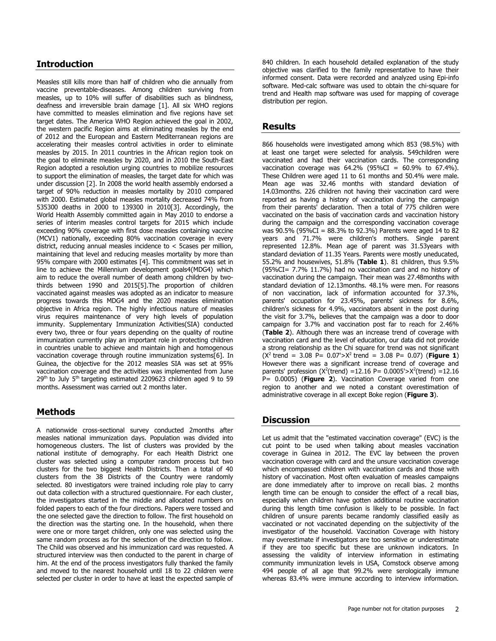#### **Introduction**

Measles still kills more than half of children who die annually from vaccine preventable-diseases. Among children surviving from measles, up to 10% will suffer of disabilities such as blindness, deafness and irreversible brain damage [\[1\]](http://www.panafrican-med-journal.com/content/article/17/4/full/#ref1). All six WHO regions have committed to measles elimination and five regions have set target dates. The America WHO Region achieved the goal in 2002, the western pacific Region aims at eliminating measles by the end of 2012 and the European and Eastern Mediterranean regions are accelerating their measles control activities in order to eliminate measles by 2015. In 2011 countries in the African region took on the goal to eliminate measles by 2020, and in 2010 the South-East Region adopted a resolution urging countries to mobilize resources to support the elimination of measles, the target date for which was under discussion [\[2\]](http://www.panafrican-med-journal.com/content/article/17/4/full/#ref2). In 2008 the world health assembly endorsed a target of 90% reduction in measles mortality by 2010 compared with 2000. Estimated global measles mortality decreased 74% from 535300 deaths in 2000 to 139300 in 2010[\[3\]](http://www.panafrican-med-journal.com/content/article/17/4/full/#ref3). Accordingly, the World Health Assembly committed again in May 2010 to endorse a series of interim measles control targets for 2015 which include exceeding 90% coverage with first dose measles containing vaccine (MCV1) nationally, exceeding 80% vaccination coverage in every district, reducing annual measles incidence to < 5cases per million, maintaining that level and reducing measles mortality by more than 95% compare with 2000 estimates [\[4\]](http://www.panafrican-med-journal.com/content/article/17/4/full/#ref4). This commitment was set in line to achieve the Millennium development goals4(MDG4) which aim to reduce the overall number of death among children by twothirds between 1990 and 2015[\[5\]](http://www.panafrican-med-journal.com/content/article/17/4/full/#ref5).The proportion of children vaccinated against measles was adopted as an indicator to measure progress towards this MDG4 and the 2020 measles elimination objective in Africa region. The highly infectious nature of measles virus requires maintenance of very high levels of population immunity. Supplementary Immunization Activities(SIA) conducted every two, three or four years depending on the quality of routine immunization currently play an important role in protecting children in countries unable to achieve and maintain high and homogenous vaccination coverage through routine immunization systems[\[6\]](http://www.panafrican-med-journal.com/content/article/17/4/full/#ref6). In Guinea, the objective for the 2012 measles SIA was set at 95% vaccination coverage and the activities was implemented from June  $29<sup>th</sup>$  to July 5<sup>th</sup> targeting estimated 2209623 children aged 9 to 59 months. Assessment was carried out 2 months later.

### **Methods**

A nationwide cross-sectional survey conducted 2months after measles national immunization days. Population was divided into homogeneous clusters. The list of clusters was provided by the national institute of demography. For each Health District one cluster was selected using a computer random process but two clusters for the two biggest Health Districts. Then a total of 40 clusters from the 38 Districts of the Country were randomly selected. 80 investigators were trained including role play to carry out data collection with a structured questionnaire. For each cluster, the investigators started in the middle and allocated numbers on folded papers to each of the four directions. Papers were tossed and the one selected gave the direction to follow. The first household on the direction was the starting one. In the household, when there were one or more target children, only one was selected using the same random process as for the selection of the direction to follow. The Child was observed and his immunization card was requested. A structured interview was then conducted to the parent in charge of him. At the end of the process investigators fully thanked the family and moved to the nearest household until 18 to 22 children were selected per cluster in order to have at least the expected sample of

840 children. In each household detailed explanation of the study objective was clarified to the family representative to have their informed consent. Data were recorded and analyzed using Epi-info software. Med-calc software was used to obtain the chi-square for trend and Health map software was used for mapping of coverage distribution per region.

#### **Results**

866 households were investigated among which 853 (98.5%) with at least one target were selected for analysis. 549children were vaccinated and had their vaccination cards. The corresponding vaccination coverage was  $64.2\%$  (95%CI =  $60.9\%$  to  $67.4\%$ ). These Children were aged 11 to 61 months and 50.4% were male. Mean age was 32.46 months with standard deviation of 14.03months. 226 children not having their vaccination card were reported as having a history of vaccination during the campaign from their parents' declaration. Then a total of 775 children were vaccinated on the basis of vaccination cards and vaccination history during the campaign and the corresponding vaccination coverage was 90.5% (95%CI = 88.3% to 92.3%) Parents were aged 14 to 82 years and 71.7% were children's mothers. Single parent represented 12.8%. Mean age of parent was 31.53years with standard deviation of 11.35 Years. Parents were mostly uneducated, 55.2% and housewives, 51.8% (**[Table 1](javascript:void(0))**). 81 children, thus 9.5% (95%CI= 7.7% 11.7%) had no vaccination card and no history of vaccination during the campaign. Their mean was 27.48months with standard deviation of 12.13months. 48.1% were men. For reasons of non vaccination, lack of information accounted for 37.3%, parents' occupation for 23.45%, parents' sickness for 8.6%, children's sickness for 4.9%, vaccinators absent in the post during the visit for 3.7%, believes that the campaign was a door to door campaign for 3.7% and vaccination post far to reach for 2.46% (**[Table 2](javascript:void(0))**). Although there was an increase trend of coverage with vaccination card and the level of education, our data did not provide a strong relationship as the Chi square for trend was not significant  $(X^2 \text{ trend} = 3.08 \text{ P} = 0.07'$ > $X^2 \text{ trend} = 3.08 \text{ P} = 0.07$ ) (**[Figure 1](javascript:PopupFigure()**) However there was a significant increase trend of coverage and parents' profession ( $X^2$ (trend) = 12.16 P= 0.0005'> $X^2$ (trend) = 12.16 P= 0.0005) (**[Figure 2](javascript:PopupFigure()**). Vaccination Coverage varied from one region to another and we noted a constant overestimation of administrative coverage in all except Boke region (**[Figure 3](javascript:PopupFigure()**).

### **Discussion**

Let us admit that the "estimated vaccination coverage" (EVC) is the cut point to be used when talking about measles vaccination coverage in Guinea in 2012. The EVC lay between the proven vaccination coverage with card and the unsure vaccination coverage which encompassed children with vaccination cards and those with history of vaccination. Most often evaluation of measles campaigns are done immediately after to improve on recall bias. 2 months length time can be enough to consider the effect of a recall bias, especially when children have gotten additional routine vaccination during this length time confusion is likely to be possible. In fact children of unsure parents became randomly classified easily as vaccinated or not vaccinated depending on the subjectivity of the investigator of the household. Vaccination Coverage with history may overestimate if investigators are too sensitive or underestimate if they are too specific but these are unknown indicators. In assessing the validity of interview information in estimating community immunization levels in USA, Comstock observe among 494 people of all age that 99.2% were serologically immune whereas 83.4% were immune according to interview information.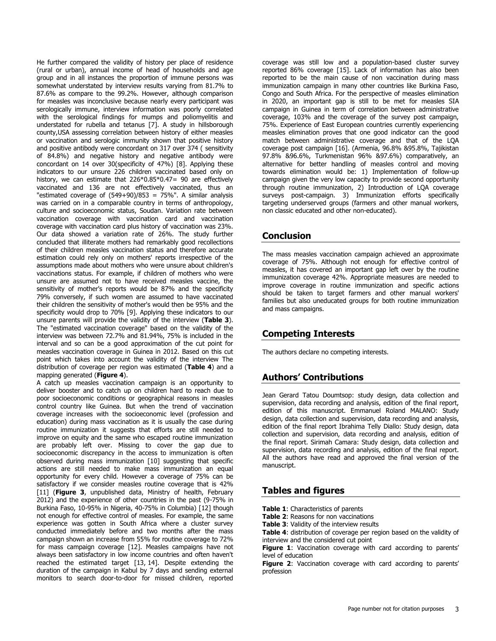He further compared the validity of history per place of residence (rural or urban), annual income of head of households and age group and in all instances the proportion of immune persons was somewhat understated by interview results varying from 81.7% to 87.6% as compare to the 99.2%. However, although comparison for measles was inconclusive because nearly every participant was serologically immune, interview information was poorly correlated with the serological findings for mumps and poliomyelitis and understated for rubella and tetanus [\[7\]](http://www.panafrican-med-journal.com/content/article/17/4/full/#ref7). A study in hillsborough county,USA assessing correlation between history of either measles or vaccination and serologic immunity shown that positive history and positive antibody were concordant on 317 over 374 ( sensitivity of 84.8%) and negative history and negative antibody were concordant on 14 over 30(specificity of 47%) [\[8\]](http://www.panafrican-med-journal.com/content/article/17/4/full/#ref8). Applying these indicators to our unsure 226 children vaccinated based only on history, we can estimate that 226\*0.85\*0.47= 90 are effectively vaccinated and 136 are not effectively vaccinated, thus an "estimated coverage of  $(549+90)/853 = 75\%$ ". A similar analysis was carried on in a comparable country in terms of anthropology, culture and socioeconomic status, Soudan. Variation rate between vaccination coverage with vaccination card and vaccination coverage with vaccination card plus history of vaccination was 23%. Our data showed a variation rate of 26%. The study further concluded that illiterate mothers had remarkably good recollections of their children measles vaccination status and therefore accurate estimation could rely only on mothers' reports irrespective of the assumptions made about mothers who were unsure about children's vaccinations status. For example, if children of mothers who were unsure are assumed not to have received measles vaccine, the sensitivity of mother's reports would be 87% and the specificity 79% conversely, if such women are assumed to have vaccinated their children the sensitivity of mother's would then be 95% and the specificity would drop to 70% [\[9\]](http://www.panafrican-med-journal.com/content/article/17/4/full/#ref9). Applying these indicators to our unsure parents will provide the validity of the interview (**[Table 3](javascript:void(0))**). The "estimated vaccination coverage" based on the validity of the interview was between 72.7% and 81.94%, 75% is included in the interval and so can be a good approximation of the cut point for measles vaccination coverage in Guinea in 2012. Based on this cut point which takes into account the validity of the interview The distribution of coverage per region was estimated (**[Table 4](javascript:void(0))**) and a mapping generated (**[Figure 4](javascript:PopupFigure()**).

A catch up measles vaccination campaign is an opportunity to deliver booster and to catch up on children hard to reach due to poor socioeconomic conditions or geographical reasons in measles control country like Guinea. But when the trend of vaccination coverage increases with the socioeconomic level (profession and education) during mass vaccination as it is usually the case during routine immunization it suggests that efforts are still needed to improve on equity and the same who escaped routine immunization are probably left over. Missing to cover the gap due to socioeconomic discrepancy in the access to immunization is often observed during mass immunization [\[10\]](http://www.panafrican-med-journal.com/content/article/17/4/full/#ref10) suggesting that specific actions are still needed to make mass immunization an equal opportunity for every child. However a coverage of 75% can be satisfactory if we consider measles routine coverage that is 42% [\[11\]](http://www.panafrican-med-journal.com/content/article/17/4/full/#ref11) (**[Figure 3](javascript:PopupFigure()**, unpublished data, Ministry of health, February 2012) and the experience of other countries in the past (9-75% in Burkina Faso, 10-95% in Nigeria, 40-75% in Columbia) [\[12\]](http://www.panafrican-med-journal.com/content/article/17/4/full/#ref12) though not enough for effective control of measles. For example, the same experience was gotten in South Africa where a cluster survey conducted immediately before and two months after the mass campaign shown an increase from 55% for routine coverage to 72% for mass campaign coverage [\[12\]](http://www.panafrican-med-journal.com/content/article/17/4/full/#ref12). Measles campaigns have not always been satisfactory in low income countries and often haven't reached the estimated target [\[13,](http://www.panafrican-med-journal.com/content/article/17/4/full/#ref13) [14\]](http://www.panafrican-med-journal.com/content/article/17/4/full/#ref 14). Despite extending the duration of the campaign in Kabul by 7 days and sending external monitors to search door-to-door for missed children, reported

Page number not for citation purposes 3

coverage was still low and a population-based cluster survey reported 86% coverage [\[15\]](http://www.panafrican-med-journal.com/content/article/17/4/full/#ref15). Lack of information has also been reported to be the main cause of non vaccination during mass immunization campaign in many other countries like Burkina Faso, Congo and South Africa. For the perspective of measles elimination in 2020, an important gap is still to be met for measles SIA campaign in Guinea in term of correlation between administrative coverage, 103% and the coverage of the survey post campaign, 75%. Experience of East European countries currently experiencing measles elimination proves that one good indicator can the good match between administrative coverage and that of the LQA coverage post campaign [\[16\]](http://www.panafrican-med-journal.com/content/article/17/4/full/#ref16). (Armenia, 96.8% &95.8%, Tajikistan 97.8% &96.6%, Turkmenistan 96% &97.6%) comparatively, an alternative for better handling of measles control and moving towards elimination would be: 1) Implementation of follow-up campaign given the very low capacity to provide second opportunity through routine immunization, 2) Introduction of LQA coverage surveys post-campaign. 3) Immunization efforts specifically targeting underserved groups (farmers and other manual workers, non classic educated and other non-educated).

## **Conclusion**

The mass measles vaccination campaign achieved an approximate coverage of 75%. Although not enough for effective control of measles, it has covered an important gap left over by the routine immunization coverage 42%. Appropriate measures are needed to improve coverage in routine immunization and specific actions should be taken to target farmers and other manual workers' families but also uneducated groups for both routine immunization and mass campaigns.

## **Competing Interests**

The authors declare no competing interests.

## **Authors' Contributions**

Jean Gerard Tatou Doumtsop: study design, data collection and supervision, data recording and analysis, edition of the final report, edition of this manuscript. Emmanuel Roland MALANO: Study design, data collection and supervision, data recording and analysis, edition of the final report Ibrahima Telly Diallo: Study design, data collection and supervision, data recording and analysis, edition of the final report. Sirimah Camara: Study design, data collection and supervision, data recording and analysis, edition of the final report. All the authors have read and approved the final version of the manuscript.

### **Tables and figures**

- **[Table 1](javascript:void(0))**: Characteristics of parents
- **[Table 2](javascript:void(0))**: Reasons for non vaccinations
- **[Table 3](javascript:void(0))**: Validity of the interview results
- **[Table 4](javascript:void(0))**: distribution of coverage per region based on the validity of interview and the considered cut point
- **[Figure 1](javascript:PopupFigure()**: Vaccination coverage with card according to parents' level of education
- **[Figure 2](javascript:PopupFigure()**: Vaccination coverage with card according to parents' profession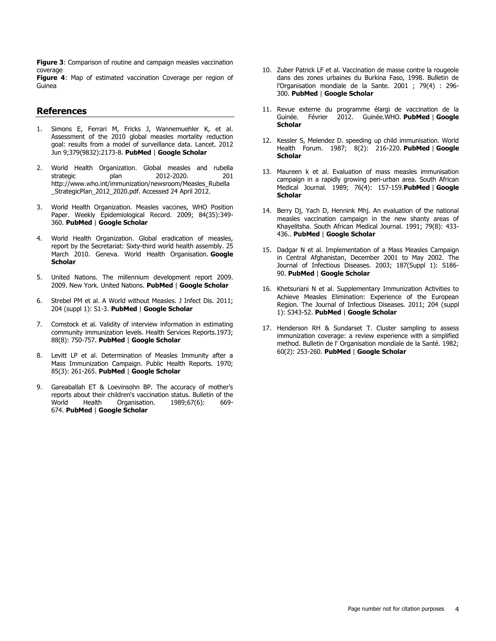**[Figure 3](javascript:PopupFigure()**: Comparison of routine and campaign measles vaccination coverage

**[Figure 4](javascript:PopupFigure()**: Map of estimated vaccination Coverage per region of Guinea

#### **References**

- 1. Simons E, Ferrari M, Fricks J, Wannemuehler K, et al. Assessment of the 2010 global measles mortality reduction goal: results from a model of surveillance data. Lancet. 2012 Jun 9;379(9832):2173-8. **[PubMed](http://www.ncbi.nlm.nih.gov/entrez/query.fcgi?db=PubMed&cmd=Search&doptcmdl=Citation&defaultField=Title+Word&term=Simons%20E%5bauthor%5d+AND+Assessment%20of%20the%202010%20global%20measles%20mortality%20reduction%20goal:%20results%20from%20a%20model%20of%20surveillance%20data+et+al)** | **[Google Scholar](http://scholar.google.com/scholar?hl=en&q=+Assessment%20of%20the%202010%20global%20measles%20mortality%20reduction%20goal:%20results%20from%20a%20model%20of%20surveillance%20data)**
- 2. World Health Organization. Global measles and rubella strategic plan 2012-2020. 201 http://www.who.int/immunization/newsroom/Measles\_Rubella \_StrategicPlan\_2012\_2020.pdf. Accessed 24 April 2012.
- 3. World Health Organization. Measles vaccines, WHO Position Paper. Weekly Epidemiological Record. 2009; 84(35):349- 360. **[PubMed](http://www.ncbi.nlm.nih.gov/entrez/query.fcgi?db=PubMed&cmd=Search&doptcmdl=Citation&defaultField=Title+Word&term=World%20Health%20Organization%5bauthor%5d+AND++Measles+vaccines+WHO+Position+Paper)** | **[Google Scholar](http://scholar.google.com/scholar?hl=en&q=+Measles+vaccines+WHO+Position+Paper)**
- 4. World Health Organization. Global eradication of measles, report by the Secretariat: Sixty-third world health assembly. 25 March 2010. Geneva. World Health Organisation. **[Google](http://scholar.google.com/scholar?hl=en&q=+Global+eradication+of+measles+report+by+the+Secretariat:+Sixty-third+world+health+assembly)  [Scholar](http://scholar.google.com/scholar?hl=en&q=+Global+eradication+of+measles+report+by+the+Secretariat:+Sixty-third+world+health+assembly)**
- 5. United Nations. The millennium development report 2009. 2009. New York. United Nations. **[PubMed](http://www.ncbi.nlm.nih.gov/entrez/query.fcgi?db=PubMed&cmd=Search&doptcmdl=Citation&defaultField=Title+Word&term=United%20Nations%5bauthor%5d+AND++The+millennium+development+report+2009)** | **[Google Scholar](http://scholar.google.com/scholar?hl=en&q=+The+millennium+development+report+2009)**
- 6. Strebel PM et al. A World without Measles. J Infect Dis. 2011; 204 (suppl 1): S1-3. **[PubMed](http://www.ncbi.nlm.nih.gov/entrez/query.fcgi?db=PubMed&cmd=Search&doptcmdl=Citation&defaultField=Title+Word&term=Strebel%20PM%20et%20al%5bauthor%5d+AND++A+World+without+Measles)** | **[Google Scholar](http://scholar.google.com/scholar?hl=en&q=+A+World+without+Measles)**
- 7. Comstock et al. Validity of interview information in estimating community immunization levels. Health Services Reports.1973; 88(8): 750-757. **[PubMed](http://www.ncbi.nlm.nih.gov/entrez/query.fcgi?db=PubMed&cmd=Search&doptcmdl=Citation&defaultField=Title+Word&term=Comstock%20et%20al%5bauthor%5d+AND++Validity+of+interview+information+in+estimating+community+immunization+levels)** | **[Google Scholar](http://scholar.google.com/scholar?hl=en&q=+Validity+of+interview+information+in+estimating+community+immunization+levels)**
- 8. Levitt LP et al. Determination of Measles Immunity after a Mass Immunization Campaign. Public Health Reports. 1970; 85(3): 261-265. **[PubMed](http://www.ncbi.nlm.nih.gov/entrez/query.fcgi?db=PubMed&cmd=Search&doptcmdl=Citation&defaultField=Title+Word&term=Levitt%20LP%20et%20al%5bauthor%5d+AND++Determination+of+Measles+Immunity+after+a+Mass+Immunization+Campaign)** | **[Google Scholar](http://scholar.google.com/scholar?hl=en&q=+Determination+of+Measles+Immunity+after+a+Mass+Immunization+Campaign)**
- 9. Gareaballah ET & Loevinsohn BP. The accuracy of mother's reports about their children's vaccination status. Bulletin of the<br>World Health Organisation. 1989:67(6): 669-World Health Organisation. 1989;67(6): 669- 674. **[PubMed](http://www.ncbi.nlm.nih.gov/entrez/query.fcgi?db=PubMed&cmd=Search&doptcmdl=Citation&defaultField=Title+Word&term=Gareaballah%20ET%20&%20Loevinsohn%20BP%5bauthor%5d+AND++The+accuracy+of+mother?s+reports+about+their+children?s+vaccination+status)** | **[Google Scholar](http://scholar.google.com/scholar?hl=en&q=+The+accuracy+of+mother?s+reports+about+their+children?s+vaccination+status)**
- 10. Zuber Patrick LF et al. Vaccination de masse contre la rougeole dans des zones urbaines du Burkina Faso, 1998. Bulletin de l'Organisation mondiale de la Sante. 2001 ; 79(4) : 296- 300. **[PubMed](http://www.ncbi.nlm.nih.gov/entrez/query.fcgi?db=PubMed&cmd=Search&doptcmdl=Citation&defaultField=Title+Word&term=Zuber%20Patrick%20LF%20et%20al%5bauthor%5d+AND++Vaccination+de+masse+contre+la+rougeole+dans+des+zones+urbaines+du+Burkina+Faso+1998)** | **[Google Scholar](http://scholar.google.com/scholar?hl=en&q=+Vaccination+de+masse+contre+la+rougeole+dans+des+zones+urbaines+du+Burkina+Faso+1998)**
- 11. Revue externe du programme élargi de vaccination de la Guinée. Février 2012. Guinée.WHO. **[PubMed](http://www.ncbi.nlm.nih.gov/entrez/query.fcgi?db=PubMed&cmd=Search&doptcmdl=Citation&defaultField=Title+Word&term=Revue%20externe%20du%20programme%20%E9largi%20de%20vaccination%20de%20la%20Guin%E9e%5bauthor%5d+AND++F%E9vrier+2012)** | **[Google](http://scholar.google.com/scholar?hl=en&q=+F%E9vrier+2012)  [Scholar](http://scholar.google.com/scholar?hl=en&q=+F%E9vrier+2012)**
- 12. Kessler S, Melendez D. speeding up child immunisation. World Health Forum. 1987; 8(2): 216-220. **[PubMed](http://www.ncbi.nlm.nih.gov/entrez/query.fcgi?db=PubMed&cmd=Search&doptcmdl=Citation&defaultField=Title+Word&term=Kessler%20S%5bauthor%5d+AND++speeding+up+child+immunisation)** | **[Google](http://scholar.google.com/scholar?hl=en&q=+speeding+up+child+immunisation)  [Scholar](http://scholar.google.com/scholar?hl=en&q=+speeding+up+child+immunisation)**
- 13. Maureen k et al. Evaluation of mass measles immunisation campaign in a rapidly growing peri-urban area. South African Medical Journal. 1989; 76(4): 157-159.**[PubMed](http://www.ncbi.nlm.nih.gov/entrez/query.fcgi?db=PubMed&cmd=Search&doptcmdl=Citation&defaultField=Title+Word&term=Maureen%20k%20et%20al%5bauthor%5d+AND++Evaluation+of+mass+measles+immunisation+campaign+in+a+rapidly+growing+peri-urban+area)** | **[Google](http://scholar.google.com/scholar?hl=en&q=+Evaluation+of+mass+measles+immunisation+campaign+in+a+rapidly+growing+peri-urban+area)  [Scholar](http://scholar.google.com/scholar?hl=en&q=+Evaluation+of+mass+measles+immunisation+campaign+in+a+rapidly+growing+peri-urban+area)**
- 14. Berry Dj, Yach D, Hennink Mhj. An evaluation of the national measles vaccination campaign in the new shanty areas of Khayelitsha. South African Medical Journal. 1991; 79(8): 433- 436.. **[PubMed](http://www.ncbi.nlm.nih.gov/entrez/query.fcgi?db=PubMed&cmd=Search&doptcmdl=Citation&defaultField=Title+Word&term=Berry%20Dj%5bauthor%5d+AND++An+evaluation+of+the+national+measles+vaccination+campaign+in+the+new+shanty+areas+of+Khayelitsha)** | **[Google Scholar](http://scholar.google.com/scholar?hl=en&q=+An+evaluation+of+the+national+measles+vaccination+campaign+in+the+new+shanty+areas+of+Khayelitsha)**
- 15. Dadgar N et al. Implementation of a Mass Measles Campaign in Central Afghanistan, December 2001 to May 2002. The Journal of Infectious Diseases. 2003; 187(Suppl 1): S186- 90. **[PubMed](http://www.ncbi.nlm.nih.gov/entrez/query.fcgi?db=PubMed&cmd=Search&doptcmdl=Citation&defaultField=Title+Word&term=Dadgar%20N%20et%20al%5bauthor%5d+AND+++Implementation+of+a+Mass+Measles+Campaign+in+Central+Afghanistan+December+2001+to+May+2002)** | **[Google Scholar](http://scholar.google.com/scholar?hl=en&q=++Implementation+of+a+Mass+Measles+Campaign+in+Central+Afghanistan+December+2001+to+May+2002)**
- 16. Khetsuriani N et al. Supplementary Immunization Activities to Achieve Measles Elimination: Experience of the European Region. The Journal of Infectious Diseases. 2011; 204 (suppl 1): S343-52. **[PubMed](http://www.ncbi.nlm.nih.gov/entrez/query.fcgi?db=PubMed&cmd=Search&doptcmdl=Citation&defaultField=Title+Word&term=Khetsuriani%20N%20et%20al%5bauthor%5d+AND+++Supplementary+Immunization+Activities+to+Achieve+Measles+Elimination:+Experience+of+the+European+Region)** | **[Google Scholar](http://scholar.google.com/scholar?hl=en&q=++Supplementary+Immunization+Activities+to+Achieve+Measles+Elimination:+Experience+of+the+European+Region)**
- 17. Henderson RH & Sundarset T. Cluster sampling to assess immunization coverage: a review experience with a simplified method. Bulletin de l' Organisation mondiale de la Santé. 1982; 60(2): 253-260. **[PubMed](http://www.ncbi.nlm.nih.gov/entrez/query.fcgi?db=PubMed&cmd=Search&doptcmdl=Citation&defaultField=Title+Word&term=Henderson%20RH%20&%20Sundarset%20T%5bauthor%5d+AND++Cluster+sampling+to+assess+immunization+coverage:+a+review+experience+with+a+simplified+method)** | **[Google Scholar](http://scholar.google.com/scholar?hl=en&q=+Cluster+sampling+to+assess+immunization+coverage:+a+review+experience+with+a+simplified+method)**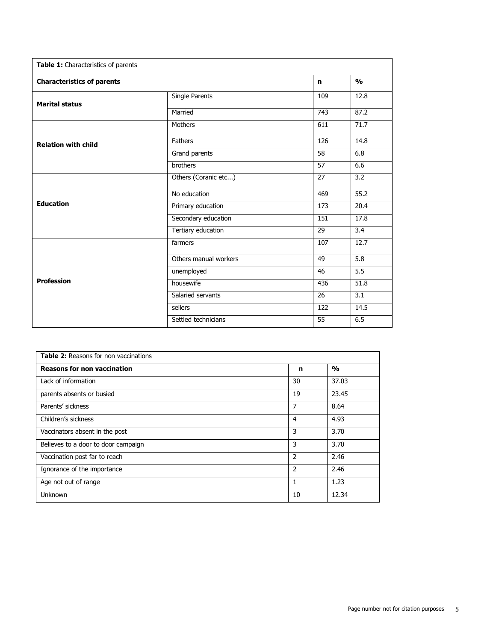| Table 1: Characteristics of parents |                       |             |               |
|-------------------------------------|-----------------------|-------------|---------------|
| <b>Characteristics of parents</b>   |                       | $\mathbf n$ | $\frac{0}{0}$ |
| <b>Marital status</b>               | Single Parents        | 109         | 12.8          |
|                                     | Married               | 743         | 87.2          |
|                                     | Mothers               | 611         | 71.7          |
| <b>Relation with child</b>          | Fathers               | 126         | 14.8          |
|                                     | Grand parents         | 58          | 6.8           |
|                                     | brothers              | 57          | 6.6           |
|                                     | Others (Coranic etc)  | 27          | 3.2           |
|                                     | No education          | 469         | 55.2          |
| <b>Education</b>                    | Primary education     | 173         | 20.4          |
|                                     | Secondary education   | 151         | 17.8          |
|                                     | Tertiary education    | 29          | 3.4           |
|                                     | farmers               | 107         | 12.7          |
|                                     | Others manual workers | 49          | 5.8           |
|                                     | unemployed            | 46          | 5.5           |
| <b>Profession</b>                   | housewife             | 436         | 51.8          |
|                                     | Salaried servants     | 26          | 3.1           |
|                                     | sellers               | 122         | 14.5          |
|                                     | Settled technicians   | 55          | 6.5           |

| <b>Table 2: Reasons for non vaccinations</b> |                |               |  |  |
|----------------------------------------------|----------------|---------------|--|--|
| <b>Reasons for non vaccination</b>           | n              | $\frac{0}{0}$ |  |  |
| Lack of information                          | 30             | 37.03         |  |  |
| parents absents or busied                    | 19             | 23.45         |  |  |
| Parents' sickness                            | 7              | 8.64          |  |  |
| Children's sickness                          | $\overline{4}$ | 4.93          |  |  |
| Vaccinators absent in the post               | 3              | 3.70          |  |  |
| Believes to a door to door campaign          | 3              | 3.70          |  |  |
| Vaccination post far to reach                | $\overline{2}$ | 2.46          |  |  |
| Ignorance of the importance                  | $\overline{2}$ | 2.46          |  |  |
| Age not out of range                         | $\mathbf{1}$   | 1.23          |  |  |
| Unknown                                      | 10             | 12.34         |  |  |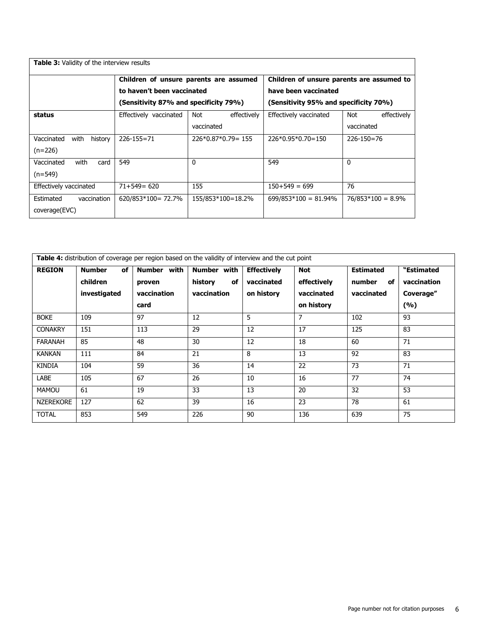| <b>Table 3:</b> Validity of the interview results |                                       |                                        |                                           |                     |  |  |
|---------------------------------------------------|---------------------------------------|----------------------------------------|-------------------------------------------|---------------------|--|--|
|                                                   |                                       | Children of unsure parents are assumed | Children of unsure parents are assumed to |                     |  |  |
|                                                   | to haven't been vaccinated            |                                        | have been vaccinated                      |                     |  |  |
|                                                   | (Sensitivity 87% and specificity 79%) |                                        | (Sensitivity 95% and specificity 70%)     |                     |  |  |
| status                                            | Effectively vaccinated                | effectively<br>Not                     | Effectively vaccinated                    | effectively<br>Not  |  |  |
|                                                   |                                       | vaccinated                             |                                           | vaccinated          |  |  |
| Vaccinated<br>with<br>history                     | $226 - 155 = 71$                      | $226*0.87*0.79=155$                    | $226*0.95*0.70=150$                       | $226 - 150 = 76$    |  |  |
| $(n=226)$                                         |                                       |                                        |                                           |                     |  |  |
| with<br>Vaccinated<br>card                        | 549                                   | $\Omega$                               | 549                                       | $\Omega$            |  |  |
| $(n=549)$                                         |                                       |                                        |                                           |                     |  |  |
| Effectively vaccinated                            | $71+549=620$                          | 155                                    | $150+549=699$                             | 76                  |  |  |
| Estimated<br>vaccination                          | $620/853*100=72.7%$                   | 155/853*100=18.2%                      | $699/853*100 = 81.94%$                    | $76/853*100 = 8.9%$ |  |  |
| coverage(EVC)                                     |                                       |                                        |                                           |                     |  |  |

| <b>Table 4:</b> distribution of coverage per region based on the validity of interview and the cut point |                     |             |               |                    |             |                  |             |
|----------------------------------------------------------------------------------------------------------|---------------------|-------------|---------------|--------------------|-------------|------------------|-------------|
| <b>REGION</b>                                                                                            | <b>Number</b><br>of | Number with | Number with   | <b>Effectively</b> | <b>Not</b>  | <b>Estimated</b> | "Estimated  |
|                                                                                                          | children            | proven      | history<br>оf | vaccinated         | effectively | number<br>оf     | vaccination |
|                                                                                                          | investigated        | vaccination | vaccination   | on history         | vaccinated  | vaccinated       | Coverage"   |
|                                                                                                          |                     | card        |               |                    | on history  |                  | (9/6)       |
| <b>BOKE</b>                                                                                              | 109                 | 97          | 12            | 5                  | 7           | 102              | 93          |
| <b>CONAKRY</b>                                                                                           | 151                 | 113         | 29            | 12                 | 17          | 125              | 83          |
| <b>FARANAH</b>                                                                                           | 85                  | 48          | 30            | 12                 | 18          | 60               | 71          |
| <b>KANKAN</b>                                                                                            | 111                 | 84          | 21            | 8                  | 13          | 92               | 83          |
| <b>KINDIA</b>                                                                                            | 104                 | 59          | 36            | 14                 | 22          | 73               | 71          |
| LABE                                                                                                     | 105                 | 67          | 26            | 10                 | 16          | 77               | 74          |
| <b>MAMOU</b>                                                                                             | 61                  | 19          | 33            | 13                 | 20          | 32               | 53          |
| <b>NZEREKORE</b>                                                                                         | 127                 | 62          | 39            | 16                 | 23          | 78               | 61          |
| <b>TOTAL</b>                                                                                             | 853                 | 549         | 226           | 90                 | 136         | 639              | 75          |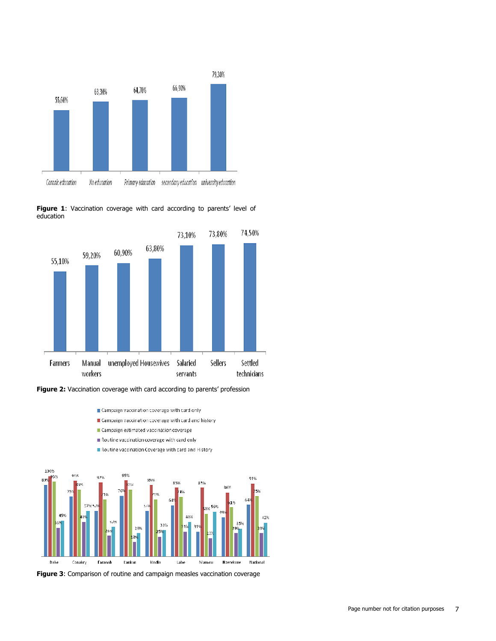





**[Figure 2:](javascript:PopupFigure()** Vaccination coverage with card according to parents' profession

Campaign vaccination coverage with card only

- Campaign vaccination coverage with card and history
- Campaign estimated vaccination coverage
- $\equiv$  Routine vaccination coverage with card only
- Routine vaccination Coverage with card and History



**[Figure 3](javascript:PopupFigure()**: Comparison of routine and campaign measles vaccination coverage